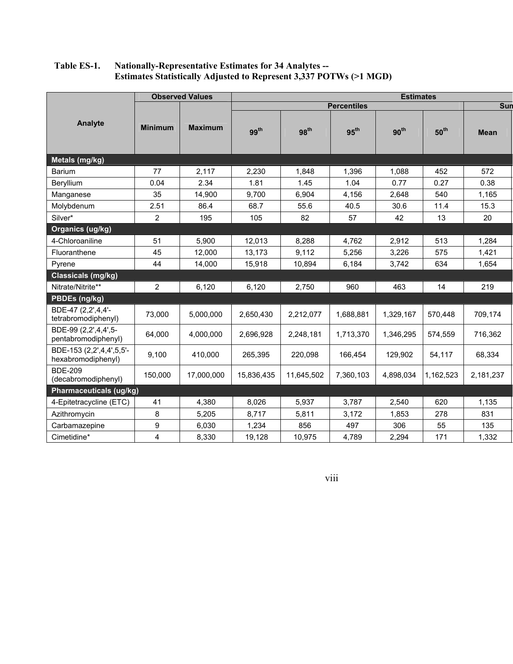## **Table ES-1. Nationally-Representative Estimates for 34 Analytes -- Estimates Statistically Adjusted to Represent 3,337 POTWs (>1 MGD)**

|                                                | <b>Observed Values</b> |                | <b>Estimates</b>   |                  |                  |                  |                  |             |  |
|------------------------------------------------|------------------------|----------------|--------------------|------------------|------------------|------------------|------------------|-------------|--|
| Analyte                                        |                        |                | <b>Percentiles</b> |                  |                  |                  |                  | Sun         |  |
|                                                | <b>Minimum</b>         | <b>Maximum</b> | 99 <sup>th</sup>   | 98 <sup>th</sup> | 95 <sup>th</sup> | 90 <sup>th</sup> | 50 <sup>th</sup> | <b>Mean</b> |  |
| Metals (mg/kg)                                 |                        |                |                    |                  |                  |                  |                  |             |  |
| <b>Barium</b>                                  | 77                     | 2,117          | 2,230              | 1,848            | 1,396            | 1,088            | 452              | 572         |  |
| Beryllium                                      | 0.04                   | 2.34           | 1.81               | 1.45             | 1.04             | 0.77             | 0.27             | 0.38        |  |
| Manganese                                      | 35                     | 14,900         | 9,700              | 6,904            | 4,156            | 2,648            | 540              | 1,165       |  |
| Molybdenum                                     | 2.51                   | 86.4           | 68.7               | 55.6             | 40.5             | 30.6             | 11.4             | 15.3        |  |
| Silver*                                        | 2                      | 195            | 105                | 82               | 57               | 42               | 13               | 20          |  |
| <b>Organics (ug/kg)</b>                        |                        |                |                    |                  |                  |                  |                  |             |  |
| 4-Chloroaniline                                | 51                     | 5,900          | 12,013             | 8,288            | 4,762            | 2,912            | 513              | 1,284       |  |
| Fluoranthene                                   | 45                     | 12,000         | 13,173             | 9,112            | 5,256            | 3,226            | 575              | 1,421       |  |
| Pyrene                                         | 44                     | 14,000         | 15,918             | 10,894           | 6,184            | 3,742            | 634              | 1,654       |  |
| Classicals (mg/kg)                             |                        |                |                    |                  |                  |                  |                  |             |  |
| Nitrate/Nitrite**                              | 2                      | 6,120          | 6,120              | 2,750            | 960              | 463              | 14               | 219         |  |
| PBDEs (ng/kg)                                  |                        |                |                    |                  |                  |                  |                  |             |  |
| BDE-47 (2,2',4,4'-<br>tetrabromodiphenyl)      | 73,000                 | 5,000,000      | 2,650,430          | 2,212,077        | 1,688,881        | 1,329,167        | 570,448          | 709,174     |  |
| BDE-99 (2,2',4,4',5-<br>pentabromodiphenyl)    | 64,000                 | 4,000,000      | 2,696,928          | 2,248,181        | 1,713,370        | 1,346,295        | 574,559          | 716,362     |  |
| BDE-153 (2,2',4,4',5,5'-<br>hexabromodiphenyl) | 9,100                  | 410,000        | 265,395            | 220,098          | 166,454          | 129,902          | 54,117           | 68,334      |  |
| <b>BDE-209</b><br>(decabromodiphenyl)          | 150,000                | 17,000,000     | 15,836,435         | 11,645,502       | 7,360,103        | 4,898,034        | 1,162,523        | 2,181,237   |  |
| <b>Pharmaceuticals (ug/kg)</b>                 |                        |                |                    |                  |                  |                  |                  |             |  |
| 4-Epitetracycline (ETC)                        | 41                     | 4,380          | 8,026              | 5,937            | 3,787            | 2,540            | 620              | 1,135       |  |
| Azithromycin                                   | 8                      | 5,205          | 8,717              | 5,811            | 3,172            | 1,853            | 278              | 831         |  |
| Carbamazepine                                  | 9                      | 6,030          | 1.234              | 856              | 497              | 306              | 55               | 135         |  |
| Cimetidine*                                    | 4                      | 8,330          | 19,128             | 10,975           | 4,789            | 2,294            | 171              | 1,332       |  |

viii